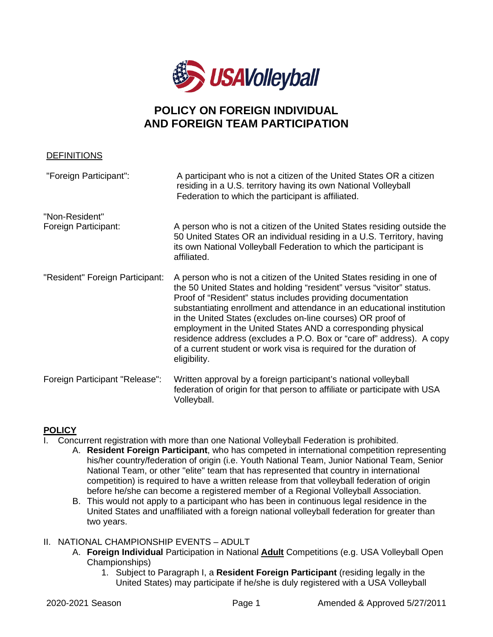

## **POLICY ON FOREIGN INDIVIDUAL AND FOREIGN TEAM PARTICIPATION**

| <b>DEFINITIONS</b>                     |                                                                                                                                                                                                                                                                                                                                                                                                                                                                                                                                                                                    |
|----------------------------------------|------------------------------------------------------------------------------------------------------------------------------------------------------------------------------------------------------------------------------------------------------------------------------------------------------------------------------------------------------------------------------------------------------------------------------------------------------------------------------------------------------------------------------------------------------------------------------------|
| "Foreign Participant":                 | A participant who is not a citizen of the United States OR a citizen<br>residing in a U.S. territory having its own National Volleyball<br>Federation to which the participant is affiliated.                                                                                                                                                                                                                                                                                                                                                                                      |
| "Non-Resident"<br>Foreign Participant: | A person who is not a citizen of the United States residing outside the<br>50 United States OR an individual residing in a U.S. Territory, having<br>its own National Volleyball Federation to which the participant is<br>affiliated.                                                                                                                                                                                                                                                                                                                                             |
| "Resident" Foreign Participant:        | A person who is not a citizen of the United States residing in one of<br>the 50 United States and holding "resident" versus "visitor" status.<br>Proof of "Resident" status includes providing documentation<br>substantiating enrollment and attendance in an educational institution<br>in the United States (excludes on-line courses) OR proof of<br>employment in the United States AND a corresponding physical<br>residence address (excludes a P.O. Box or "care of" address). A copy<br>of a current student or work visa is required for the duration of<br>eligibility. |
| Foreign Participant "Release":         | Written approval by a foreign participant's national volleyball<br>federation of origin for that person to affiliate or participate with USA<br>Volleyball.                                                                                                                                                                                                                                                                                                                                                                                                                        |

## **POLICY**

- I. Concurrent registration with more than one National Volleyball Federation is prohibited.
	- A. **Resident Foreign Participant**, who has competed in international competition representing his/her country/federation of origin (i.e. Youth National Team, Junior National Team, Senior National Team, or other "elite" team that has represented that country in international competition) is required to have a written release from that volleyball federation of origin before he/she can become a registered member of a Regional Volleyball Association.
	- B. This would not apply to a participant who has been in continuous legal residence in the United States and unaffiliated with a foreign national volleyball federation for greater than two years.
- II. NATIONAL CHAMPIONSHIP EVENTS ADULT
	- A. **Foreign Individual** Participation in National **Adult** Competitions (e.g. USA Volleyball Open Championships)
		- 1. Subject to Paragraph I, a **Resident Foreign Participant** (residing legally in the United States) may participate if he/she is duly registered with a USA Volleyball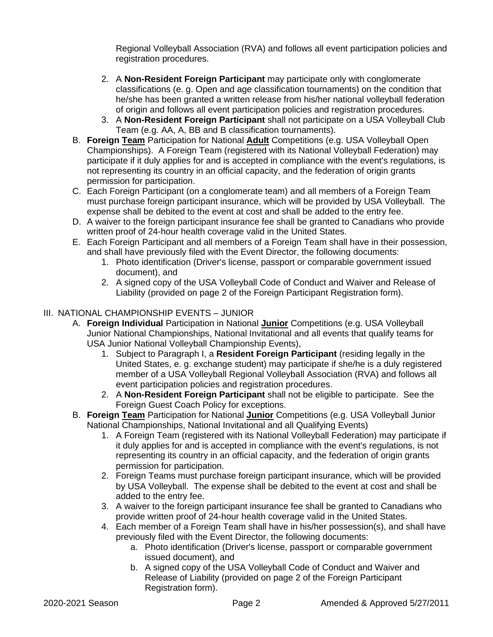Regional Volleyball Association (RVA) and follows all event participation policies and registration procedures.

- 2. A **Non-Resident Foreign Participant** may participate only with conglomerate classifications (e. g. Open and age classification tournaments) on the condition that he/she has been granted a written release from his/her national volleyball federation of origin and follows all event participation policies and registration procedures.
- 3. A **Non-Resident Foreign Participant** shall not participate on a USA Volleyball Club Team (e.g. AA, A, BB and B classification tournaments).
- B. **Foreign Team** Participation for National **Adult** Competitions (e.g. USA Volleyball Open Championships). A Foreign Team (registered with its National Volleyball Federation) may participate if it duly applies for and is accepted in compliance with the event's regulations, is not representing its country in an official capacity, and the federation of origin grants permission for participation.
- C. Each Foreign Participant (on a conglomerate team) and all members of a Foreign Team must purchase foreign participant insurance, which will be provided by USA Volleyball. The expense shall be debited to the event at cost and shall be added to the entry fee.
- D. A waiver to the foreign participant insurance fee shall be granted to Canadians who provide written proof of 24-hour health coverage valid in the United States.
- E. Each Foreign Participant and all members of a Foreign Team shall have in their possession, and shall have previously filed with the Event Director, the following documents:
	- 1. Photo identification (Driver's license, passport or comparable government issued document), and
	- 2. A signed copy of the USA Volleyball Code of Conduct and Waiver and Release of Liability (provided on page 2 of the Foreign Participant Registration form).
- III. NATIONAL CHAMPIONSHIP EVENTS JUNIOR
	- A. **Foreign Individual** Participation in National **Junior** Competitions (e.g. USA Volleyball Junior National Championships, National Invitational and all events that qualify teams for USA Junior National Volleyball Championship Events),
		- 1. Subject to Paragraph I, a **Resident Foreign Participant** (residing legally in the United States, e. g. exchange student) may participate if she/he is a duly registered member of a USA Volleyball Regional Volleyball Association (RVA) and follows all event participation policies and registration procedures.
		- 2. A **Non-Resident Foreign Participant** shall not be eligible to participate. See the Foreign Guest Coach Policy for exceptions.
	- B. **Foreign Team** Participation for National **Junior** Competitions (e.g. USA Volleyball Junior National Championships, National Invitational and all Qualifying Events)
		- 1. A Foreign Team (registered with its National Volleyball Federation) may participate if it duly applies for and is accepted in compliance with the event's regulations, is not representing its country in an official capacity, and the federation of origin grants permission for participation.
		- 2. Foreign Teams must purchase foreign participant insurance, which will be provided by USA Volleyball. The expense shall be debited to the event at cost and shall be added to the entry fee.
		- 3. A waiver to the foreign participant insurance fee shall be granted to Canadians who provide written proof of 24-hour health coverage valid in the United States.
		- 4. Each member of a Foreign Team shall have in his/her possession(s), and shall have previously filed with the Event Director, the following documents:
			- a. Photo identification (Driver's license, passport or comparable government issued document), and
			- b. A signed copy of the USA Volleyball Code of Conduct and Waiver and Release of Liability (provided on page 2 of the Foreign Participant Registration form).